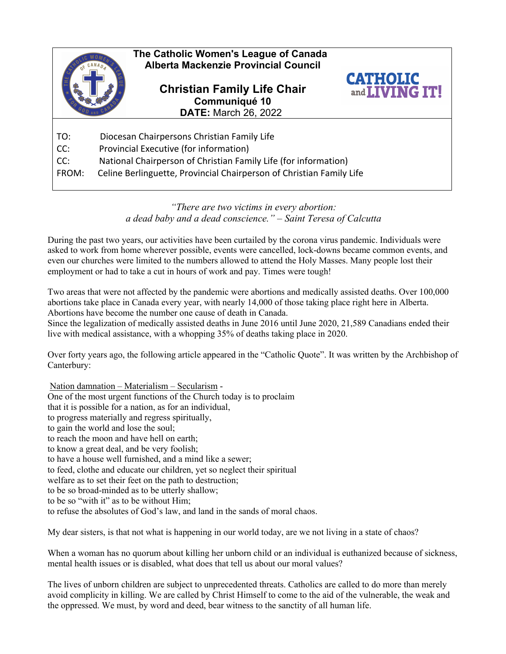

## *"There are two victims in every abortion: a dead baby and a dead conscience." – Saint Teresa of Calcutta*

During the past two years, our activities have been curtailed by the corona virus pandemic. Individuals were asked to work from home wherever possible, events were cancelled, lock-downs became common events, and even our churches were limited to the numbers allowed to attend the Holy Masses. Many people lost their employment or had to take a cut in hours of work and pay. Times were tough!

Two areas that were not affected by the pandemic were abortions and medically assisted deaths. Over 100,000 abortions take place in Canada every year, with nearly 14,000 of those taking place right here in Alberta. Abortions have become the number one cause of death in Canada.

Since the legalization of medically assisted deaths in June 2016 until June 2020, 21,589 Canadians ended their live with medical assistance, with a whopping 35% of deaths taking place in 2020.

Over forty years ago, the following article appeared in the "Catholic Quote". It was written by the Archbishop of Canterbury:

Nation damnation – Materialism – Secularism - One of the most urgent functions of the Church today is to proclaim that it is possible for a nation, as for an individual, to progress materially and regress spiritually, to gain the world and lose the soul; to reach the moon and have hell on earth; to know a great deal, and be very foolish; to have a house well furnished, and a mind like a sewer; to feed, clothe and educate our children, yet so neglect their spiritual welfare as to set their feet on the path to destruction; to be so broad-minded as to be utterly shallow; to be so "with it" as to be without Him; to refuse the absolutes of God's law, and land in the sands of moral chaos.

My dear sisters, is that not what is happening in our world today, are we not living in a state of chaos?

When a woman has no quorum about killing her unborn child or an individual is euthanized because of sickness, mental health issues or is disabled, what does that tell us about our moral values?

The lives of unborn children are subject to unprecedented threats. Catholics are called to do more than merely avoid complicity in killing. We are called by Christ Himself to come to the aid of the vulnerable, the weak and the oppressed. We must, by word and deed, bear witness to the sanctity of all human life.